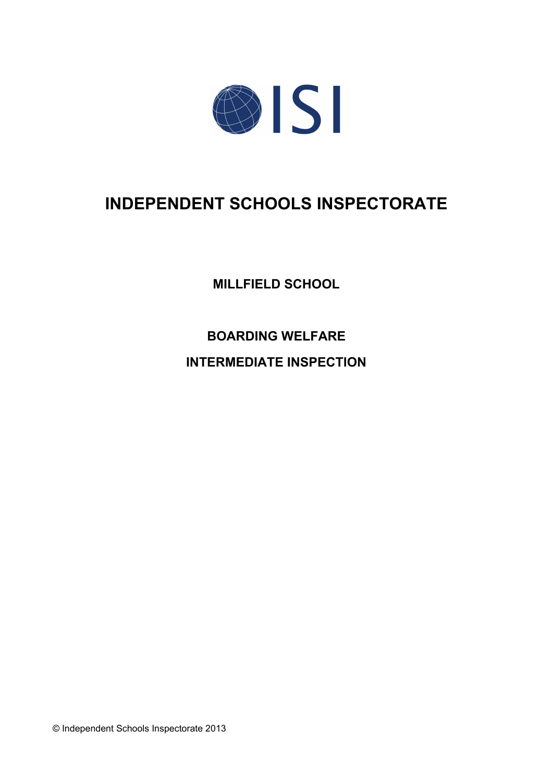

# **INDEPENDENT SCHOOLS INSPECTORATE**

**MILLFIELD SCHOOL**

**BOARDING WELFARE**

**INTERMEDIATE INSPECTION**

© Independent Schools Inspectorate 2013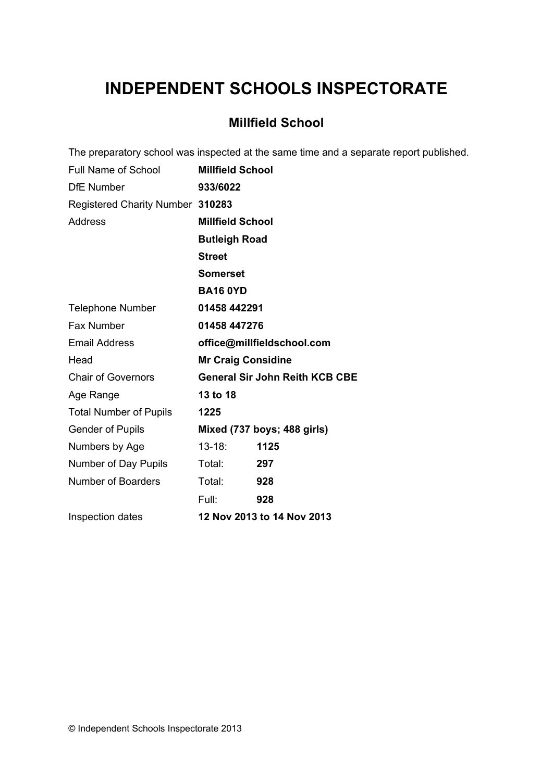# **INDEPENDENT SCHOOLS INSPECTORATE**

## **Millfield School**

|                                  |                           | The preparatory school was inspected at the same time and a separate report published. |
|----------------------------------|---------------------------|----------------------------------------------------------------------------------------|
| <b>Full Name of School</b>       | <b>Millfield School</b>   |                                                                                        |
| <b>DfE</b> Number                | 933/6022                  |                                                                                        |
| Registered Charity Number 310283 |                           |                                                                                        |
| <b>Address</b>                   | <b>Millfield School</b>   |                                                                                        |
|                                  | <b>Butleigh Road</b>      |                                                                                        |
|                                  | <b>Street</b>             |                                                                                        |
|                                  | <b>Somerset</b>           |                                                                                        |
|                                  | <b>BA16 0YD</b>           |                                                                                        |
| <b>Telephone Number</b>          | 01458 442291              |                                                                                        |
| Fax Number                       | 01458 447276              |                                                                                        |
| <b>Email Address</b>             |                           | office@millfieldschool.com                                                             |
| Head                             | <b>Mr Craig Considine</b> |                                                                                        |
| <b>Chair of Governors</b>        |                           | <b>General Sir John Reith KCB CBE</b>                                                  |
| Age Range                        | 13 to 18                  |                                                                                        |
| <b>Total Number of Pupils</b>    | 1225                      |                                                                                        |
| <b>Gender of Pupils</b>          |                           | Mixed (737 boys; 488 girls)                                                            |
| Numbers by Age                   | $13 - 18$ :               | 1125                                                                                   |
| Number of Day Pupils             | Total:                    | 297                                                                                    |
| <b>Number of Boarders</b>        | Total:                    | 928                                                                                    |
|                                  | Full:                     | 928                                                                                    |
| Inspection dates                 |                           | 12 Nov 2013 to 14 Nov 2013                                                             |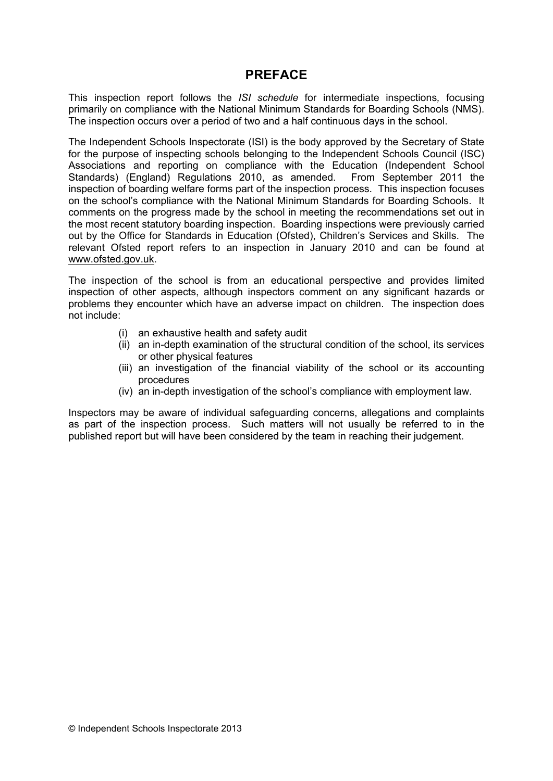### **PREFACE**

This inspection report follows the *ISI schedule* for intermediate inspections*,* focusing primarily on compliance with the National Minimum Standards for Boarding Schools (NMS). The inspection occurs over a period of two and a half continuous days in the school.

The Independent Schools Inspectorate (ISI) is the body approved by the Secretary of State for the purpose of inspecting schools belonging to the Independent Schools Council (ISC) Associations and reporting on compliance with the Education (Independent School Standards) (England) Regulations 2010, as amended. From September 2011 the inspection of boarding welfare forms part of the inspection process. This inspection focuses on the school's compliance with the National Minimum Standards for Boarding Schools. It comments on the progress made by the school in meeting the recommendations set out in the most recent statutory boarding inspection. Boarding inspections were previously carried out by the Office for Standards in Education (Ofsted), Children's Services and Skills. The relevant Ofsted report refers to an inspection in January 2010 and can be found at [www.ofsted.gov.uk.](http://www.ofsted.gov.uk)

The inspection of the school is from an educational perspective and provides limited inspection of other aspects, although inspectors comment on any significant hazards or problems they encounter which have an adverse impact on children. The inspection does not include:

- (i) an exhaustive health and safety audit
- (ii) an in-depth examination of the structural condition of the school, its services or other physical features
- (iii) an investigation of the financial viability of the school or its accounting procedures
- (iv) an in-depth investigation of the school's compliance with employment law.

Inspectors may be aware of individual safeguarding concerns, allegations and complaints as part of the inspection process. Such matters will not usually be referred to in the published report but will have been considered by the team in reaching their judgement.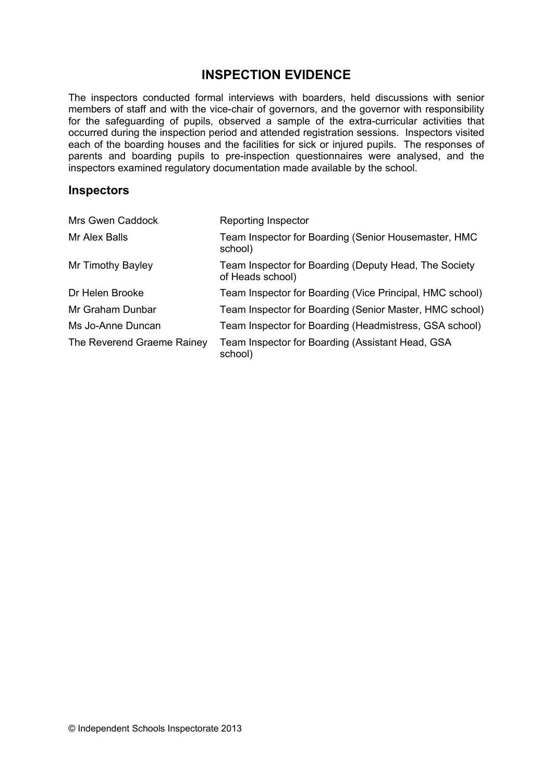## **INSPECTION EVIDENCE**

The inspectors conducted formal interviews with boarders, held discussions with senior members of staff and with the vice-chair of governors, and the governor with responsibility for the safeguarding of pupils, observed a sample of the extra-curricular activities that occurred during the inspection period and attended registration sessions. Inspectors visited each of the boarding houses and the facilities for sick or injured pupils. The responses of parents and boarding pupils to pre-inspection questionnaires were analysed, and the inspectors examined regulatory documentation made available by the school.

#### **Inspectors**

| Mrs Gwen Caddock           | Reporting Inspector                                                       |
|----------------------------|---------------------------------------------------------------------------|
| Mr Alex Balls              | Team Inspector for Boarding (Senior Housemaster, HMC<br>school)           |
| Mr Timothy Bayley          | Team Inspector for Boarding (Deputy Head, The Society<br>of Heads school) |
| Dr Helen Brooke            | Team Inspector for Boarding (Vice Principal, HMC school)                  |
| Mr Graham Dunbar           | Team Inspector for Boarding (Senior Master, HMC school)                   |
| Ms Jo-Anne Duncan          | Team Inspector for Boarding (Headmistress, GSA school)                    |
| The Reverend Graeme Rainey | Team Inspector for Boarding (Assistant Head, GSA<br>school)               |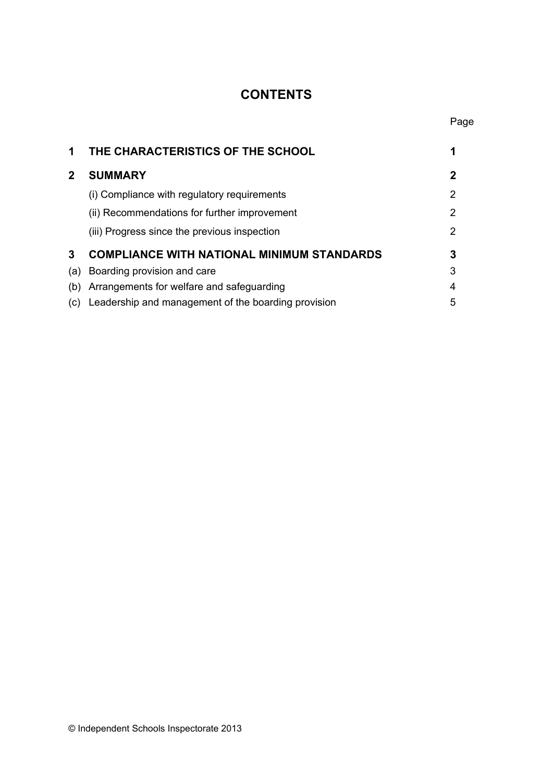# **CONTENTS**

Page

| 1            | THE CHARACTERISTICS OF THE SCHOOL                   |   |
|--------------|-----------------------------------------------------|---|
| $\mathbf{2}$ | <b>SUMMARY</b>                                      | 2 |
|              | (i) Compliance with regulatory requirements         | 2 |
|              | (ii) Recommendations for further improvement        | 2 |
|              | (iii) Progress since the previous inspection        | 2 |
| 3            | <b>COMPLIANCE WITH NATIONAL MINIMUM STANDARDS</b>   | 3 |
| (a)          | Boarding provision and care                         | 3 |
| (b)          | Arrangements for welfare and safeguarding           | 4 |
| (C)          | Leadership and management of the boarding provision | 5 |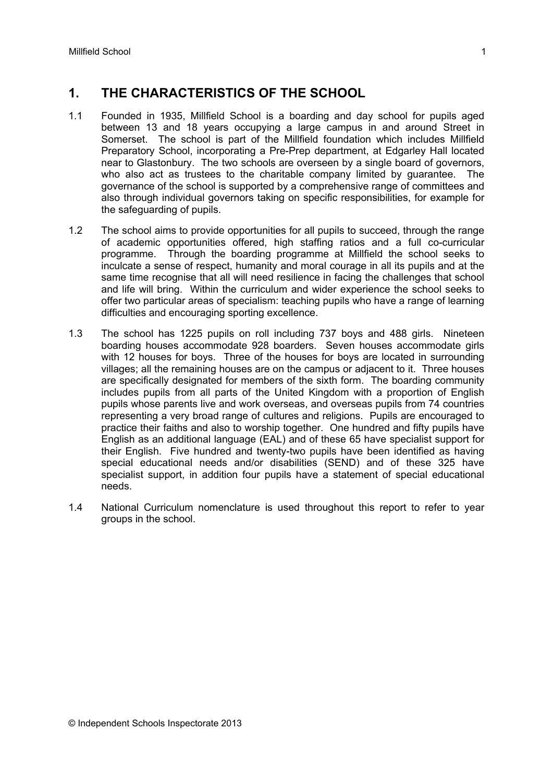# **1. THE CHARACTERISTICS OF THE SCHOOL**

- 1.1 Founded in 1935, Millfield School is a boarding and day school for pupils aged between 13 and 18 years occupying a large campus in and around Street in Somerset. The school is part of the Millfield foundation which includes Millfield Preparatory School, incorporating a Pre-Prep department, at Edgarley Hall located near to Glastonbury. The two schools are overseen by a single board of governors, who also act as trustees to the charitable company limited by guarantee. The governance of the school is supported by a comprehensive range of committees and also through individual governors taking on specific responsibilities, for example for the safeguarding of pupils.
- 1.2 The school aims to provide opportunities for all pupils to succeed, through the range of academic opportunities offered, high staffing ratios and a full co-curricular programme. Through the boarding programme at Millfield the school seeks to inculcate a sense of respect, humanity and moral courage in all its pupils and at the same time recognise that all will need resilience in facing the challenges that school and life will bring. Within the curriculum and wider experience the school seeks to offer two particular areas of specialism: teaching pupils who have a range of learning difficulties and encouraging sporting excellence.
- 1.3 The school has 1225 pupils on roll including 737 boys and 488 girls. Nineteen boarding houses accommodate 928 boarders. Seven houses accommodate girls with 12 houses for boys. Three of the houses for boys are located in surrounding villages; all the remaining houses are on the campus or adjacent to it. Three houses are specifically designated for members of the sixth form. The boarding community includes pupils from all parts of the United Kingdom with a proportion of English pupils whose parents live and work overseas, and overseas pupils from 74 countries representing a very broad range of cultures and religions. Pupils are encouraged to practice their faiths and also to worship together. One hundred and fifty pupils have English as an additional language (EAL) and of these 65 have specialist support for their English. Five hundred and twenty-two pupils have been identified as having special educational needs and/or disabilities (SEND) and of these 325 have specialist support, in addition four pupils have a statement of special educational needs.
- 1.4 National Curriculum nomenclature is used throughout this report to refer to year groups in the school.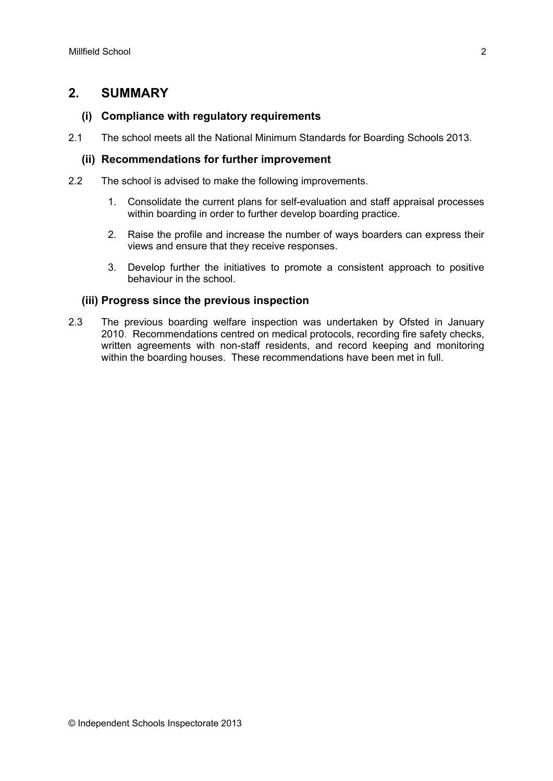#### **2. SUMMARY**

#### **(i) Compliance with regulatory requirements**

2.1 The school meets all the National Minimum Standards for Boarding Schools 2013.

#### **(ii) Recommendations for further improvement**

- 2.2 The school is advised to make the following improvements.
	- 1. Consolidate the current plans for self-evaluation and staff appraisal processes within boarding in order to further develop boarding practice.
	- 2. Raise the profile and increase the number of ways boarders can express their views and ensure that they receive responses.
	- 3. Develop further the initiatives to promote a consistent approach to positive behaviour in the school.

#### **(iii) Progress since the previous inspection**

2.3 The previous boarding welfare inspection was undertaken by Ofsted in January 2010. Recommendations centred on medical protocols, recording fire safety checks, written agreements with non-staff residents, and record keeping and monitoring within the boarding houses. These recommendations have been met in full.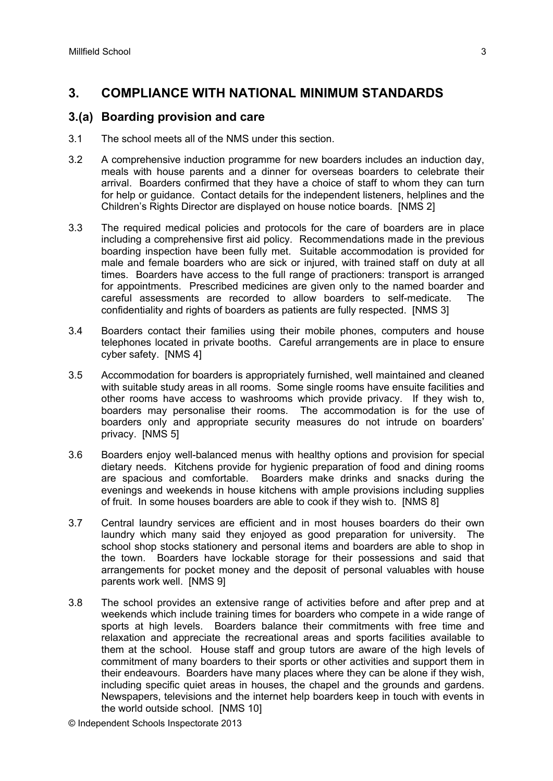## **3. COMPLIANCE WITH NATIONAL MINIMUM STANDARDS**

#### **3.(a) Boarding provision and care**

- 3.1 The school meets all of the NMS under this section.
- 3.2 A comprehensive induction programme for new boarders includes an induction day, meals with house parents and a dinner for overseas boarders to celebrate their arrival. Boarders confirmed that they have a choice of staff to whom they can turn for help or guidance. Contact details for the independent listeners, helplines and the Children's Rights Director are displayed on house notice boards. [NMS 2]
- 3.3 The required medical policies and protocols for the care of boarders are in place including a comprehensive first aid policy. Recommendations made in the previous boarding inspection have been fully met. Suitable accommodation is provided for male and female boarders who are sick or injured, with trained staff on duty at all times. Boarders have access to the full range of practioners: transport is arranged for appointments. Prescribed medicines are given only to the named boarder and careful assessments are recorded to allow boarders to self-medicate. The confidentiality and rights of boarders as patients are fully respected. [NMS 3]
- 3.4 Boarders contact their families using their mobile phones, computers and house telephones located in private booths. Careful arrangements are in place to ensure cyber safety. [NMS 4]
- 3.5 Accommodation for boarders is appropriately furnished, well maintained and cleaned with suitable study areas in all rooms. Some single rooms have ensuite facilities and other rooms have access to washrooms which provide privacy. If they wish to, boarders may personalise their rooms. The accommodation is for the use of boarders only and appropriate security measures do not intrude on boarders' privacy. [NMS 5]
- 3.6 Boarders enjoy well-balanced menus with healthy options and provision for special dietary needs. Kitchens provide for hygienic preparation of food and dining rooms are spacious and comfortable. Boarders make drinks and snacks during the evenings and weekends in house kitchens with ample provisions including supplies of fruit. In some houses boarders are able to cook if they wish to. [NMS 8]
- 3.7 Central laundry services are efficient and in most houses boarders do their own laundry which many said they enjoyed as good preparation for university. The school shop stocks stationery and personal items and boarders are able to shop in the town. Boarders have lockable storage for their possessions and said that arrangements for pocket money and the deposit of personal valuables with house parents work well. [NMS 9]
- 3.8 The school provides an extensive range of activities before and after prep and at weekends which include training times for boarders who compete in a wide range of sports at high levels. Boarders balance their commitments with free time and relaxation and appreciate the recreational areas and sports facilities available to them at the school. House staff and group tutors are aware of the high levels of commitment of many boarders to their sports or other activities and support them in their endeavours. Boarders have many places where they can be alone if they wish, including specific quiet areas in houses, the chapel and the grounds and gardens. Newspapers, televisions and the internet help boarders keep in touch with events in the world outside school. [NMS 10]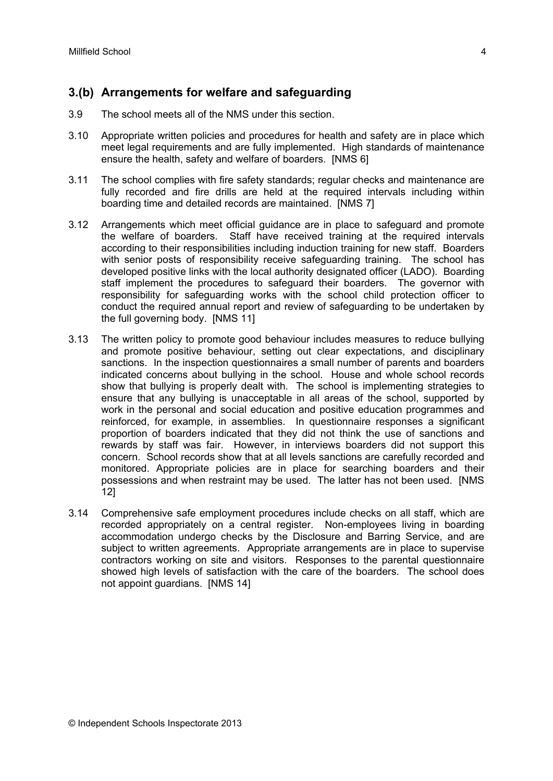## **3.(b) Arrangements for welfare and safeguarding**

- 3.9 The school meets all of the NMS under this section.
- 3.10 Appropriate written policies and procedures for health and safety are in place which meet legal requirements and are fully implemented. High standards of maintenance ensure the health, safety and welfare of boarders. [NMS 6]
- 3.11 The school complies with fire safety standards; regular checks and maintenance are fully recorded and fire drills are held at the required intervals including within boarding time and detailed records are maintained. [NMS 7]
- 3.12 Arrangements which meet official guidance are in place to safeguard and promote the welfare of boarders. Staff have received training at the required intervals according to their responsibilities including induction training for new staff. Boarders with senior posts of responsibility receive safeguarding training. The school has developed positive links with the local authority designated officer (LADO). Boarding staff implement the procedures to safeguard their boarders. The governor with responsibility for safeguarding works with the school child protection officer to conduct the required annual report and review of safeguarding to be undertaken by the full governing body. [NMS 11]
- 3.13 The written policy to promote good behaviour includes measures to reduce bullying and promote positive behaviour, setting out clear expectations, and disciplinary sanctions. In the inspection questionnaires a small number of parents and boarders indicated concerns about bullying in the school. House and whole school records show that bullying is properly dealt with. The school is implementing strategies to ensure that any bullying is unacceptable in all areas of the school, supported by work in the personal and social education and positive education programmes and reinforced, for example, in assemblies. In questionnaire responses a significant proportion of boarders indicated that they did not think the use of sanctions and rewards by staff was fair. However, in interviews boarders did not support this concern. School records show that at all levels sanctions are carefully recorded and monitored. Appropriate policies are in place for searching boarders and their possessions and when restraint may be used. The latter has not been used. [NMS 12]
- 3.14 Comprehensive safe employment procedures include checks on all staff, which are recorded appropriately on a central register. Non-employees living in boarding accommodation undergo checks by the Disclosure and Barring Service, and are subject to written agreements. Appropriate arrangements are in place to supervise contractors working on site and visitors. Responses to the parental questionnaire showed high levels of satisfaction with the care of the boarders. The school does not appoint guardians. [NMS 14]